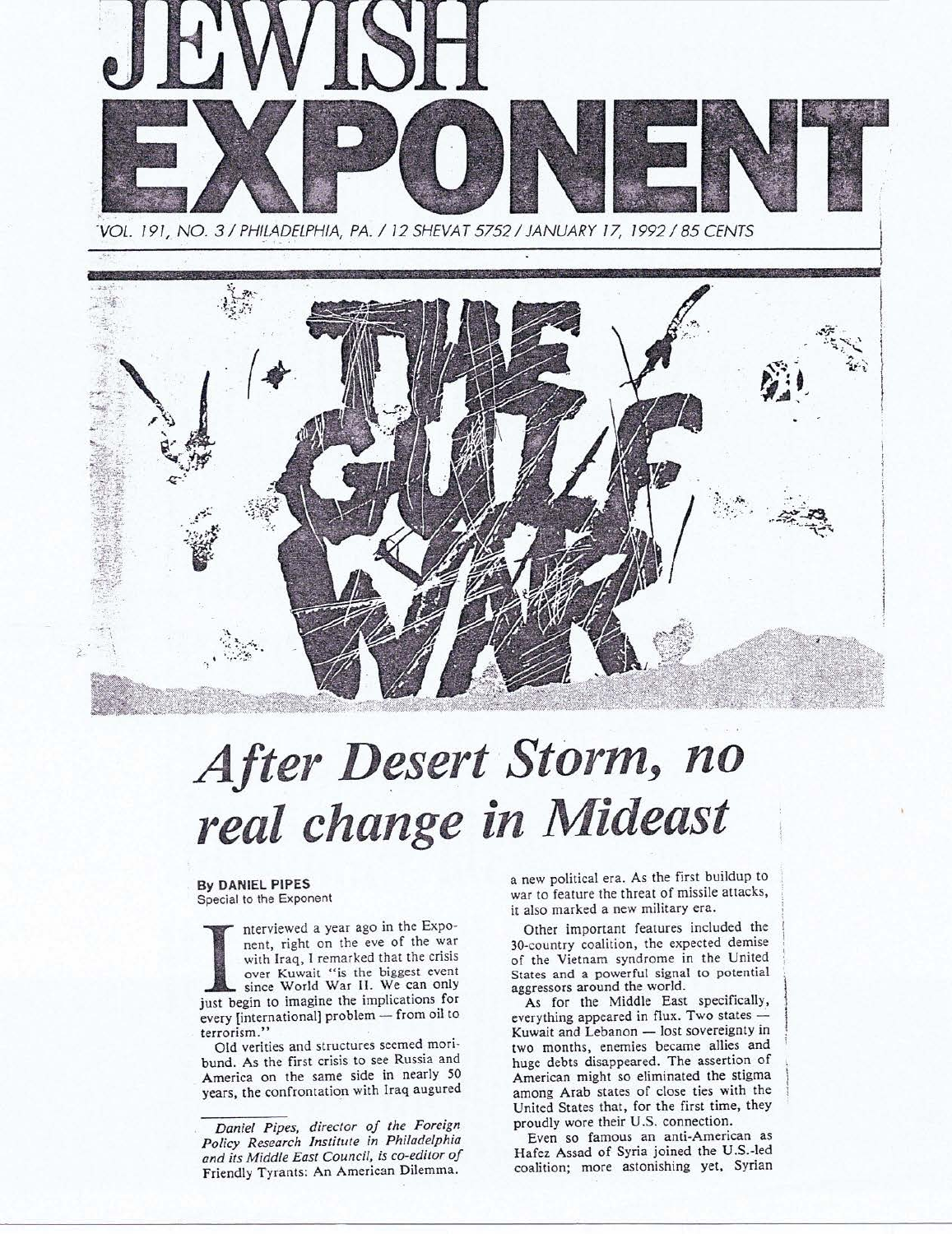

## *After Desert Storm, no real change in Mideast*

**By DANIEL PIPES**  Special to the Exponent

Interviewed a year ago in the Exponent, right on the eve of the was with Iraq, I remarked that the crisis over Kuwait "is the biggest even since World War II. We can only just begin to imagine the implications for nent, right on the eve of the war with Iraq, I remarked that the crisis over Kuwait "is the biggest event since World War II. **We** can only just begin to imagine the implications for every [international] problem - from oil to terrorism."

Old verities and structures seemed moribund. As the first crisis to see Russia and America on the same side in nearly 50 years, the confrontation with Iraq augured

*Daniel Pipes, director of the Foreign Policy Research Institute in Philadelphia and its Middle East Council, is co-editor of*  Friendly Tyrants: An American Dilemma.

a new political era. As the first buildup to war to feature the threat of missile attacks, it also marked a new military era.

Other important features included the 30-country coalition, the expected demise of the Vietnam syndrome in the United States and a powerful signal to potential aggressors around the world.

As for the Middle East specifically, everything appeared in flux. Two states -Kuwait and Lebanon - lost sovereignty in two months, enemies became allies and huge debts disappeared. The assertion of American might so eliminated the stigma among Arab states of close ties with the United States that, for the first time, they proudly wore their U.S. connection.

Even so famous an anti-American as Hafez Assad of Syria joined the U.S .-led coalition; more astonishing yet, Syrian